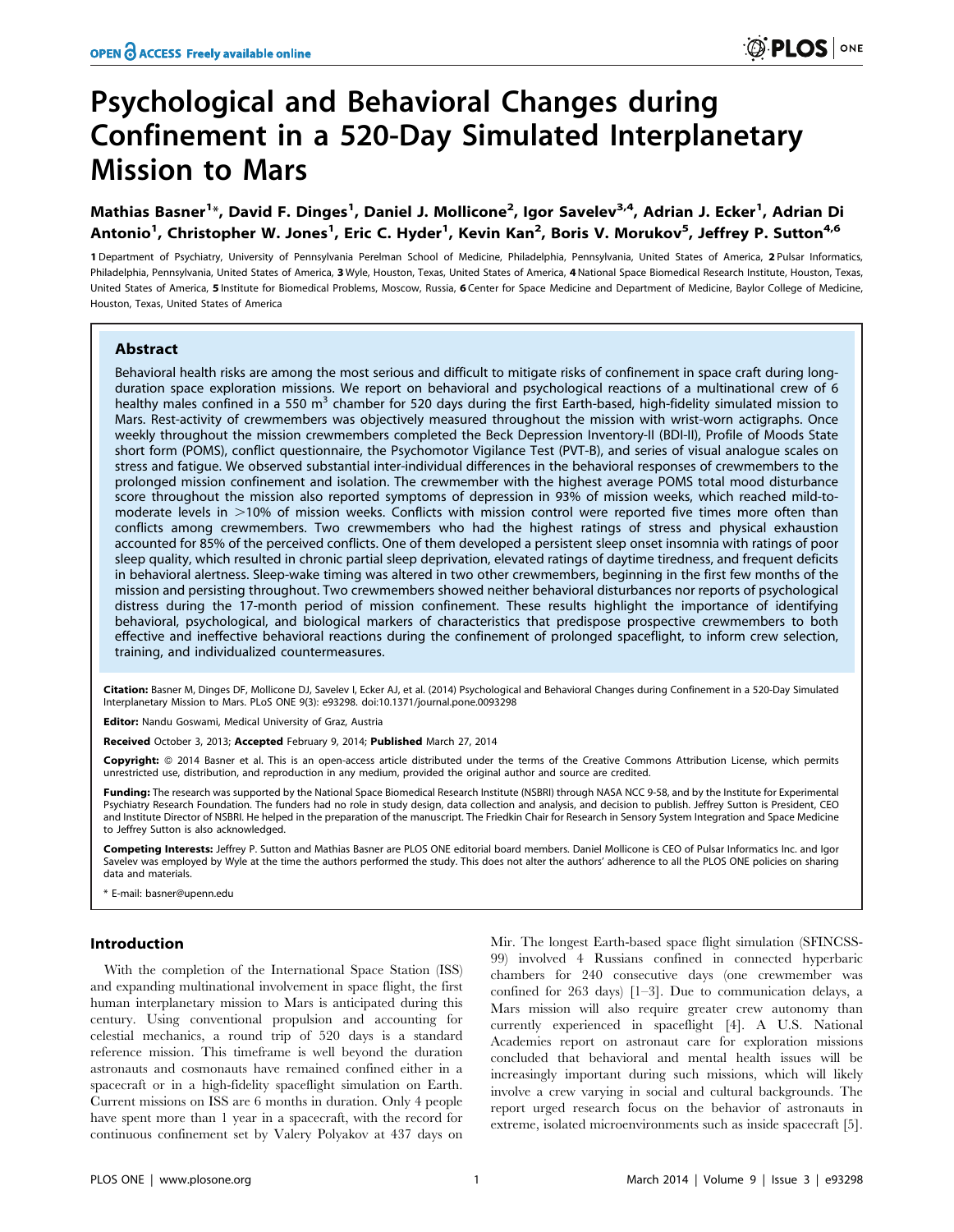# Psychological and Behavioral Changes during Confinement in a 520-Day Simulated Interplanetary Mission to Mars

## Mathias Basner<sup>1</sup>\*, David F. Dinges<sup>1</sup>, Daniel J. Mollicone<sup>2</sup>, Igor Savelev<sup>3,4</sup>, Adrian J. Ecker<sup>1</sup>, Adrian Di Antonio<sup>1</sup>, Christopher W. Jones<sup>1</sup>, Eric C. Hyder<sup>1</sup>, Kevin Kan<sup>2</sup>, Boris V. Morukov<sup>5</sup>, Jeffrey P. Sutton<sup>4,6</sup>

1 Department of Psychiatry, University of Pennsylvania Perelman School of Medicine, Philadelphia, Pennsylvania, United States of America, 2 Pulsar Informatics, Philadelphia, Pennsylvania, United States of America, 3 Wyle, Houston, Texas, United States of America, 4 National Space Biomedical Research Institute, Houston, Texas, United States of America, 5 Institute for Biomedical Problems, Moscow, Russia, 6 Center for Space Medicine and Department of Medicine, Baylor College of Medicine, Houston, Texas, United States of America

## Abstract

Behavioral health risks are among the most serious and difficult to mitigate risks of confinement in space craft during longduration space exploration missions. We report on behavioral and psychological reactions of a multinational crew of 6 healthy males confined in a 550  $m<sup>3</sup>$  chamber for 520 days during the first Earth-based, high-fidelity simulated mission to Mars. Rest-activity of crewmembers was objectively measured throughout the mission with wrist-worn actigraphs. Once weekly throughout the mission crewmembers completed the Beck Depression Inventory-II (BDI-II), Profile of Moods State short form (POMS), conflict questionnaire, the Psychomotor Vigilance Test (PVT-B), and series of visual analogue scales on stress and fatigue. We observed substantial inter-individual differences in the behavioral responses of crewmembers to the prolonged mission confinement and isolation. The crewmember with the highest average POMS total mood disturbance score throughout the mission also reported symptoms of depression in 93% of mission weeks, which reached mild-tomoderate levels in  $>$ 10% of mission weeks. Conflicts with mission control were reported five times more often than conflicts among crewmembers. Two crewmembers who had the highest ratings of stress and physical exhaustion accounted for 85% of the perceived conflicts. One of them developed a persistent sleep onset insomnia with ratings of poor sleep quality, which resulted in chronic partial sleep deprivation, elevated ratings of daytime tiredness, and frequent deficits in behavioral alertness. Sleep-wake timing was altered in two other crewmembers, beginning in the first few months of the mission and persisting throughout. Two crewmembers showed neither behavioral disturbances nor reports of psychological distress during the 17-month period of mission confinement. These results highlight the importance of identifying behavioral, psychological, and biological markers of characteristics that predispose prospective crewmembers to both effective and ineffective behavioral reactions during the confinement of prolonged spaceflight, to inform crew selection, training, and individualized countermeasures.

Citation: Basner M, Dinges DF, Mollicone DJ, Savelev I, Ecker AJ, et al. (2014) Psychological and Behavioral Changes during Confinement in a 520-Day Simulated Interplanetary Mission to Mars. PLoS ONE 9(3): e93298. doi:10.1371/journal.pone.0093298

Editor: Nandu Goswami, Medical University of Graz, Austria

Received October 3, 2013; Accepted February 9, 2014; Published March 27, 2014

Copyright: © 2014 Basner et al. This is an open-access article distributed under the terms of the [Creative Commons Attribution License](http://creativecommons.org/licenses/by/4.0/), which permits unrestricted use, distribution, and reproduction in any medium, provided the original author and source are credited.

Funding: The research was supported by the National Space Biomedical Research Institute (NSBRI) through NASA NCC 9-58, and by the Institute for Experimental Psychiatry Research Foundation. The funders had no role in study design, data collection and analysis, and decision to publish. Jeffrey Sutton is President, CEO and Institute Director of NSBRI. He helped in the preparation of the manuscript. The Friedkin Chair for Research in Sensory System Integration and Space Medicine to Jeffrey Sutton is also acknowledged.

Competing Interests: Jeffrey P. Sutton and Mathias Basner are PLOS ONE editorial board members. Daniel Mollicone is CEO of Pulsar Informatics Inc. and Igor Savelev was employed by Wyle at the time the authors performed the study. This does not alter the authors' adherence to all the PLOS ONE policies on sharing data and materials.

\* E-mail: basner@upenn.edu

#### Introduction

With the completion of the International Space Station (ISS) and expanding multinational involvement in space flight, the first human interplanetary mission to Mars is anticipated during this century. Using conventional propulsion and accounting for celestial mechanics, a round trip of 520 days is a standard reference mission. This timeframe is well beyond the duration astronauts and cosmonauts have remained confined either in a spacecraft or in a high-fidelity spaceflight simulation on Earth. Current missions on ISS are 6 months in duration. Only 4 people have spent more than 1 year in a spacecraft, with the record for continuous confinement set by Valery Polyakov at 437 days on

Mir. The longest Earth-based space flight simulation (SFINCSS-99) involved 4 Russians confined in connected hyperbaric chambers for 240 consecutive days (one crewmember was confined for 263 days) [1–3]. Due to communication delays, a Mars mission will also require greater crew autonomy than currently experienced in spaceflight [4]. A U.S. National Academies report on astronaut care for exploration missions concluded that behavioral and mental health issues will be increasingly important during such missions, which will likely involve a crew varying in social and cultural backgrounds. The report urged research focus on the behavior of astronauts in extreme, isolated microenvironments such as inside spacecraft [5].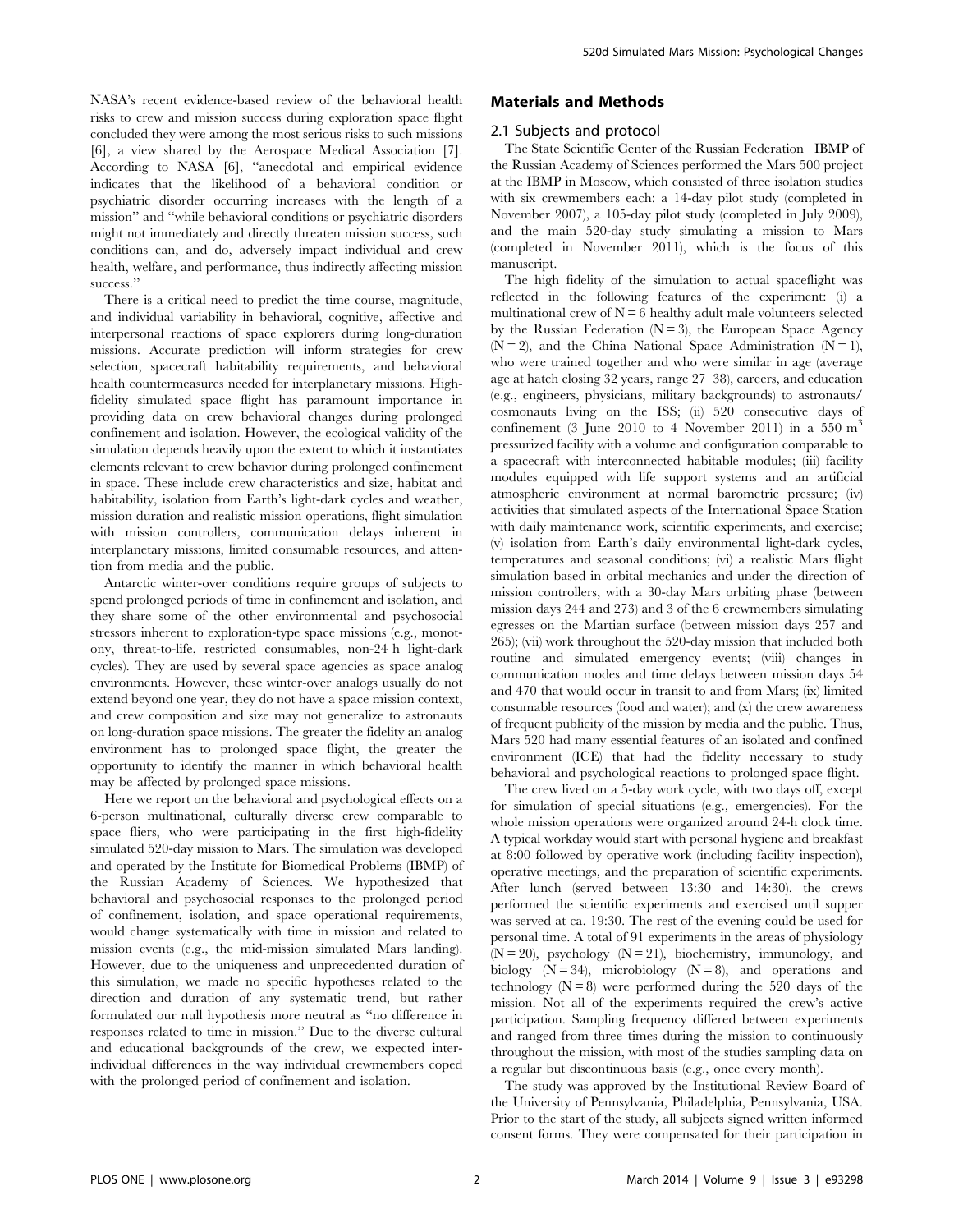NASA's recent evidence-based review of the behavioral health risks to crew and mission success during exploration space flight concluded they were among the most serious risks to such missions [6], a view shared by the Aerospace Medical Association [7]. According to NASA [6], ''anecdotal and empirical evidence indicates that the likelihood of a behavioral condition or psychiatric disorder occurring increases with the length of a mission'' and ''while behavioral conditions or psychiatric disorders might not immediately and directly threaten mission success, such conditions can, and do, adversely impact individual and crew health, welfare, and performance, thus indirectly affecting mission success."

There is a critical need to predict the time course, magnitude, and individual variability in behavioral, cognitive, affective and interpersonal reactions of space explorers during long-duration missions. Accurate prediction will inform strategies for crew selection, spacecraft habitability requirements, and behavioral health countermeasures needed for interplanetary missions. Highfidelity simulated space flight has paramount importance in providing data on crew behavioral changes during prolonged confinement and isolation. However, the ecological validity of the simulation depends heavily upon the extent to which it instantiates elements relevant to crew behavior during prolonged confinement in space. These include crew characteristics and size, habitat and habitability, isolation from Earth's light-dark cycles and weather, mission duration and realistic mission operations, flight simulation with mission controllers, communication delays inherent in interplanetary missions, limited consumable resources, and attention from media and the public.

Antarctic winter-over conditions require groups of subjects to spend prolonged periods of time in confinement and isolation, and they share some of the other environmental and psychosocial stressors inherent to exploration-type space missions (e.g., monotony, threat-to-life, restricted consumables, non-24 h light-dark cycles). They are used by several space agencies as space analog environments. However, these winter-over analogs usually do not extend beyond one year, they do not have a space mission context, and crew composition and size may not generalize to astronauts on long-duration space missions. The greater the fidelity an analog environment has to prolonged space flight, the greater the opportunity to identify the manner in which behavioral health may be affected by prolonged space missions.

Here we report on the behavioral and psychological effects on a 6-person multinational, culturally diverse crew comparable to space fliers, who were participating in the first high-fidelity simulated 520-day mission to Mars. The simulation was developed and operated by the Institute for Biomedical Problems (IBMP) of the Russian Academy of Sciences. We hypothesized that behavioral and psychosocial responses to the prolonged period of confinement, isolation, and space operational requirements, would change systematically with time in mission and related to mission events (e.g., the mid-mission simulated Mars landing). However, due to the uniqueness and unprecedented duration of this simulation, we made no specific hypotheses related to the direction and duration of any systematic trend, but rather formulated our null hypothesis more neutral as ''no difference in responses related to time in mission.'' Due to the diverse cultural and educational backgrounds of the crew, we expected interindividual differences in the way individual crewmembers coped with the prolonged period of confinement and isolation.

## Materials and Methods

### 2.1 Subjects and protocol

The State Scientific Center of the Russian Federation –IBMP of the Russian Academy of Sciences performed the Mars 500 project at the IBMP in Moscow, which consisted of three isolation studies with six crewmembers each: a 14-day pilot study (completed in November 2007), a 105-day pilot study (completed in July 2009), and the main 520-day study simulating a mission to Mars (completed in November 2011), which is the focus of this manuscript.

The high fidelity of the simulation to actual spaceflight was reflected in the following features of the experiment: (i) a multinational crew of  $N = 6$  healthy adult male volunteers selected by the Russian Federation  $(N = 3)$ , the European Space Agency  $(N = 2)$ , and the China National Space Administration  $(N = 1)$ , who were trained together and who were similar in age (average age at hatch closing 32 years, range 27–38), careers, and education (e.g., engineers, physicians, military backgrounds) to astronauts/ cosmonauts living on the ISS; (ii) 520 consecutive days of confinement (3 June 2010 to 4 November 2011) in a 550  $m<sup>3</sup>$ pressurized facility with a volume and configuration comparable to a spacecraft with interconnected habitable modules; (iii) facility modules equipped with life support systems and an artificial atmospheric environment at normal barometric pressure; (iv) activities that simulated aspects of the International Space Station with daily maintenance work, scientific experiments, and exercise; (v) isolation from Earth's daily environmental light-dark cycles, temperatures and seasonal conditions; (vi) a realistic Mars flight simulation based in orbital mechanics and under the direction of mission controllers, with a 30-day Mars orbiting phase (between mission days 244 and 273) and 3 of the 6 crewmembers simulating egresses on the Martian surface (between mission days 257 and 265); (vii) work throughout the 520-day mission that included both routine and simulated emergency events; (viii) changes in communication modes and time delays between mission days 54 and 470 that would occur in transit to and from Mars; (ix) limited consumable resources (food and water); and (x) the crew awareness of frequent publicity of the mission by media and the public. Thus, Mars 520 had many essential features of an isolated and confined environment (ICE) that had the fidelity necessary to study behavioral and psychological reactions to prolonged space flight.

The crew lived on a 5-day work cycle, with two days off, except for simulation of special situations (e.g., emergencies). For the whole mission operations were organized around 24-h clock time. A typical workday would start with personal hygiene and breakfast at 8:00 followed by operative work (including facility inspection), operative meetings, and the preparation of scientific experiments. After lunch (served between 13:30 and 14:30), the crews performed the scientific experiments and exercised until supper was served at ca. 19:30. The rest of the evening could be used for personal time. A total of 91 experiments in the areas of physiology  $(N = 20)$ , psychology  $(N = 21)$ , biochemistry, immunology, and biology  $(N = 34)$ , microbiology  $(N = 8)$ , and operations and technology  $(N = 8)$  were performed during the 520 days of the mission. Not all of the experiments required the crew's active participation. Sampling frequency differed between experiments and ranged from three times during the mission to continuously throughout the mission, with most of the studies sampling data on a regular but discontinuous basis (e.g., once every month).

The study was approved by the Institutional Review Board of the University of Pennsylvania, Philadelphia, Pennsylvania, USA. Prior to the start of the study, all subjects signed written informed consent forms. They were compensated for their participation in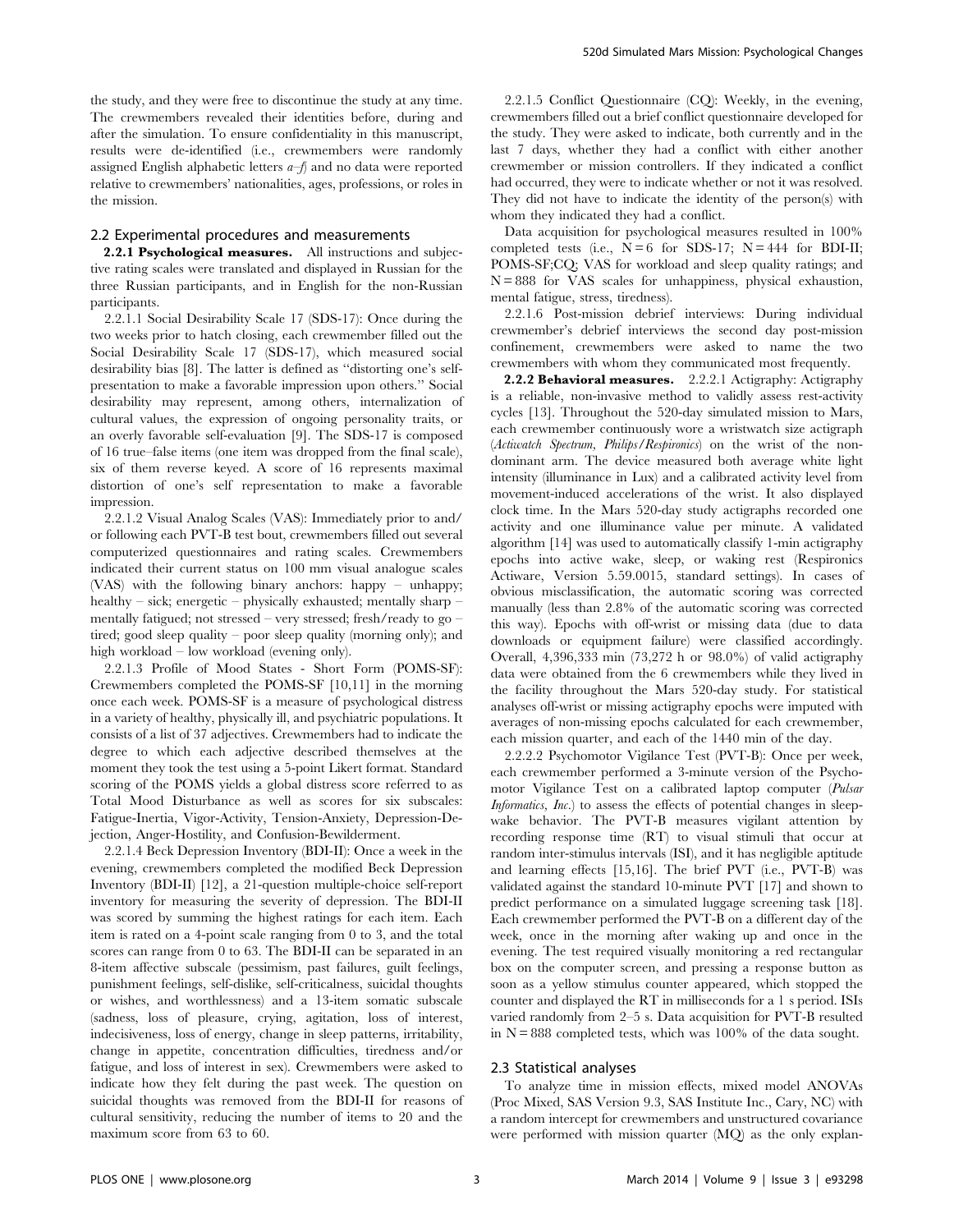the study, and they were free to discontinue the study at any time. The crewmembers revealed their identities before, during and after the simulation. To ensure confidentiality in this manuscript, results were de-identified (i.e., crewmembers were randomly assigned English alphabetic letters  $a$ – $f$ ) and no data were reported relative to crewmembers' nationalities, ages, professions, or roles in the mission.

## 2.2 Experimental procedures and measurements

2.2.1 Psychological measures. All instructions and subjective rating scales were translated and displayed in Russian for the three Russian participants, and in English for the non-Russian participants.

2.2.1.1 Social Desirability Scale 17 (SDS-17): Once during the two weeks prior to hatch closing, each crewmember filled out the Social Desirability Scale 17 (SDS-17), which measured social desirability bias [8]. The latter is defined as ''distorting one's selfpresentation to make a favorable impression upon others.'' Social desirability may represent, among others, internalization of cultural values, the expression of ongoing personality traits, or an overly favorable self-evaluation [9]. The SDS-17 is composed of 16 true–false items (one item was dropped from the final scale), six of them reverse keyed. A score of 16 represents maximal distortion of one's self representation to make a favorable impression.

2.2.1.2 Visual Analog Scales (VAS): Immediately prior to and/ or following each PVT-B test bout, crewmembers filled out several computerized questionnaires and rating scales. Crewmembers indicated their current status on 100 mm visual analogue scales (VAS) with the following binary anchors: happy – unhappy; healthy – sick; energetic – physically exhausted; mentally sharp – mentally fatigued; not stressed – very stressed; fresh/ready to go – tired; good sleep quality – poor sleep quality (morning only); and high workload – low workload (evening only).

2.2.1.3 Profile of Mood States - Short Form (POMS-SF): Crewmembers completed the POMS-SF [10,11] in the morning once each week. POMS-SF is a measure of psychological distress in a variety of healthy, physically ill, and psychiatric populations. It consists of a list of 37 adjectives. Crewmembers had to indicate the degree to which each adjective described themselves at the moment they took the test using a 5-point Likert format. Standard scoring of the POMS yields a global distress score referred to as Total Mood Disturbance as well as scores for six subscales: Fatigue-Inertia, Vigor-Activity, Tension-Anxiety, Depression-Dejection, Anger-Hostility, and Confusion-Bewilderment.

2.2.1.4 Beck Depression Inventory (BDI-II): Once a week in the evening, crewmembers completed the modified Beck Depression Inventory (BDI-II) [12], a 21-question multiple-choice self-report inventory for measuring the severity of depression. The BDI-II was scored by summing the highest ratings for each item. Each item is rated on a 4-point scale ranging from 0 to 3, and the total scores can range from 0 to 63. The BDI-II can be separated in an 8-item affective subscale (pessimism, past failures, guilt feelings, punishment feelings, self-dislike, self-criticalness, suicidal thoughts or wishes, and worthlessness) and a 13-item somatic subscale (sadness, loss of pleasure, crying, agitation, loss of interest, indecisiveness, loss of energy, change in sleep patterns, irritability, change in appetite, concentration difficulties, tiredness and/or fatigue, and loss of interest in sex). Crewmembers were asked to indicate how they felt during the past week. The question on suicidal thoughts was removed from the BDI-II for reasons of cultural sensitivity, reducing the number of items to 20 and the maximum score from 63 to 60.

2.2.1.5 Conflict Questionnaire (CQ): Weekly, in the evening, crewmembers filled out a brief conflict questionnaire developed for the study. They were asked to indicate, both currently and in the last 7 days, whether they had a conflict with either another crewmember or mission controllers. If they indicated a conflict had occurred, they were to indicate whether or not it was resolved. They did not have to indicate the identity of the person(s) with whom they indicated they had a conflict.

Data acquisition for psychological measures resulted in 100% completed tests (i.e.,  $N=6$  for SDS-17;  $N=444$  for BDI-II; POMS-SF;CQ; VAS for workload and sleep quality ratings; and N = 888 for VAS scales for unhappiness, physical exhaustion, mental fatigue, stress, tiredness).

2.2.1.6 Post-mission debrief interviews: During individual crewmember's debrief interviews the second day post-mission confinement, crewmembers were asked to name the two crewmembers with whom they communicated most frequently.

2.2.2 Behavioral measures. 2.2.2.1 Actigraphy: Actigraphy is a reliable, non-invasive method to validly assess rest-activity cycles [13]. Throughout the 520-day simulated mission to Mars, each crewmember continuously wore a wristwatch size actigraph (Actiwatch Spectrum, Philips/Respironics) on the wrist of the nondominant arm. The device measured both average white light intensity (illuminance in Lux) and a calibrated activity level from movement-induced accelerations of the wrist. It also displayed clock time. In the Mars 520-day study actigraphs recorded one activity and one illuminance value per minute. A validated algorithm [14] was used to automatically classify 1-min actigraphy epochs into active wake, sleep, or waking rest (Respironics Actiware, Version 5.59.0015, standard settings). In cases of obvious misclassification, the automatic scoring was corrected manually (less than 2.8% of the automatic scoring was corrected this way). Epochs with off-wrist or missing data (due to data downloads or equipment failure) were classified accordingly. Overall, 4,396,333 min (73,272 h or 98.0%) of valid actigraphy data were obtained from the 6 crewmembers while they lived in the facility throughout the Mars 520-day study. For statistical analyses off-wrist or missing actigraphy epochs were imputed with averages of non-missing epochs calculated for each crewmember, each mission quarter, and each of the 1440 min of the day.

2.2.2.2 Psychomotor Vigilance Test (PVT-B): Once per week, each crewmember performed a 3-minute version of the Psychomotor Vigilance Test on a calibrated laptop computer (Pulsar Informatics, Inc.) to assess the effects of potential changes in sleepwake behavior. The PVT-B measures vigilant attention by recording response time (RT) to visual stimuli that occur at random inter-stimulus intervals (ISI), and it has negligible aptitude and learning effects [15,16]. The brief PVT (i.e., PVT-B) was validated against the standard 10-minute PVT [17] and shown to predict performance on a simulated luggage screening task [18]. Each crewmember performed the PVT-B on a different day of the week, once in the morning after waking up and once in the evening. The test required visually monitoring a red rectangular box on the computer screen, and pressing a response button as soon as a yellow stimulus counter appeared, which stopped the counter and displayed the RT in milliseconds for a 1 s period. ISIs varied randomly from 2–5 s. Data acquisition for PVT-B resulted in  $N = 888$  completed tests, which was 100% of the data sought.

## 2.3 Statistical analyses

To analyze time in mission effects, mixed model ANOVAs (Proc Mixed, SAS Version 9.3, SAS Institute Inc., Cary, NC) with a random intercept for crewmembers and unstructured covariance were performed with mission quarter (MQ) as the only explan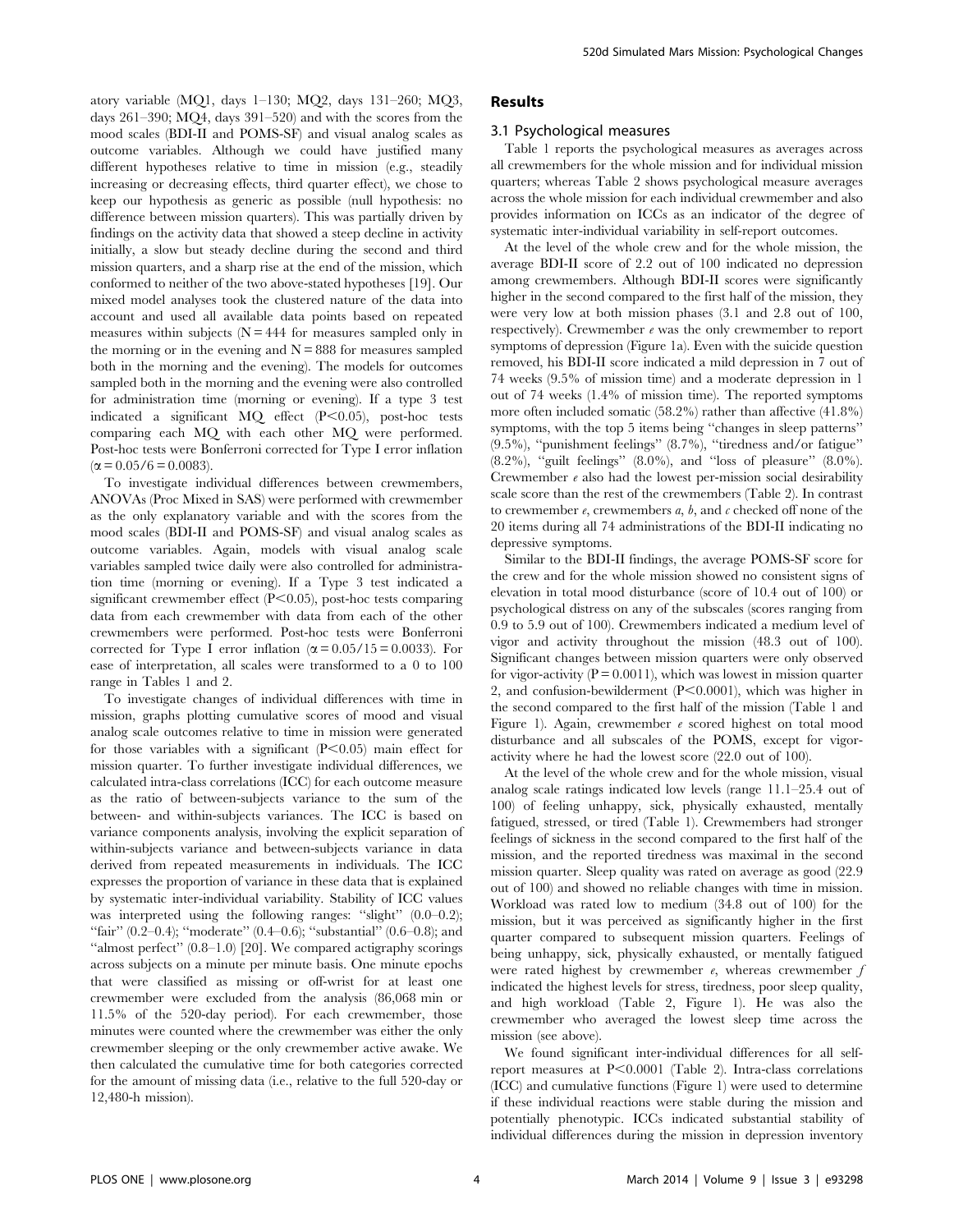atory variable (MQ1, days 1–130; MQ2, days 131–260; MQ3, days 261–390; MQ4, days 391–520) and with the scores from the mood scales (BDI-II and POMS-SF) and visual analog scales as outcome variables. Although we could have justified many different hypotheses relative to time in mission (e.g., steadily increasing or decreasing effects, third quarter effect), we chose to keep our hypothesis as generic as possible (null hypothesis: no difference between mission quarters). This was partially driven by findings on the activity data that showed a steep decline in activity initially, a slow but steady decline during the second and third mission quarters, and a sharp rise at the end of the mission, which conformed to neither of the two above-stated hypotheses [19]. Our mixed model analyses took the clustered nature of the data into account and used all available data points based on repeated measures within subjects  $(N = 444$  for measures sampled only in the morning or in the evening and  $N = 888$  for measures sampled both in the morning and the evening). The models for outcomes sampled both in the morning and the evening were also controlled for administration time (morning or evening). If a type 3 test indicated a significant  $MQ$  effect  $(P<0.05)$ , post-hoc tests comparing each MQ with each other MQ were performed. Post-hoc tests were Bonferroni corrected for Type I error inflation  $(\alpha = 0.05/6 = 0.0083)$ .

To investigate individual differences between crewmembers, ANOVAs (Proc Mixed in SAS) were performed with crewmember as the only explanatory variable and with the scores from the mood scales (BDI-II and POMS-SF) and visual analog scales as outcome variables. Again, models with visual analog scale variables sampled twice daily were also controlled for administration time (morning or evening). If a Type 3 test indicated a significant crewmember effect (P<0.05), post-hoc tests comparing data from each crewmember with data from each of the other crewmembers were performed. Post-hoc tests were Bonferroni corrected for Type I error inflation ( $\alpha = 0.05/15 = 0.0033$ ). For ease of interpretation, all scales were transformed to a 0 to 100 range in Tables 1 and 2.

To investigate changes of individual differences with time in mission, graphs plotting cumulative scores of mood and visual analog scale outcomes relative to time in mission were generated for those variables with a significant  $(P<0.05)$  main effect for mission quarter. To further investigate individual differences, we calculated intra-class correlations (ICC) for each outcome measure as the ratio of between-subjects variance to the sum of the between- and within-subjects variances. The ICC is based on variance components analysis, involving the explicit separation of within-subjects variance and between-subjects variance in data derived from repeated measurements in individuals. The ICC expresses the proportion of variance in these data that is explained by systematic inter-individual variability. Stability of ICC values was interpreted using the following ranges: "slight"  $(0.0-0.2)$ ; "fair"  $(0.2-0.4)$ ; "moderate"  $(0.4-0.6)$ ; "substantial"  $(0.6-0.8)$ ; and "almost perfect"  $(0.8-1.0)$  [20]. We compared actigraphy scorings across subjects on a minute per minute basis. One minute epochs that were classified as missing or off-wrist for at least one crewmember were excluded from the analysis (86,068 min or 11.5% of the 520-day period). For each crewmember, those minutes were counted where the crewmember was either the only crewmember sleeping or the only crewmember active awake. We then calculated the cumulative time for both categories corrected for the amount of missing data (i.e., relative to the full 520-day or 12,480-h mission).

## Results

## 3.1 Psychological measures

Table 1 reports the psychological measures as averages across all crewmembers for the whole mission and for individual mission quarters; whereas Table 2 shows psychological measure averages across the whole mission for each individual crewmember and also provides information on ICCs as an indicator of the degree of systematic inter-individual variability in self-report outcomes.

At the level of the whole crew and for the whole mission, the average BDI-II score of 2.2 out of 100 indicated no depression among crewmembers. Although BDI-II scores were significantly higher in the second compared to the first half of the mission, they were very low at both mission phases (3.1 and 2.8 out of 100, respectively). Crewmember e was the only crewmember to report symptoms of depression (Figure 1a). Even with the suicide question removed, his BDI-II score indicated a mild depression in 7 out of 74 weeks (9.5% of mission time) and a moderate depression in 1 out of 74 weeks (1.4% of mission time). The reported symptoms more often included somatic (58.2%) rather than affective (41.8%) symptoms, with the top 5 items being ''changes in sleep patterns'' (9.5%), ''punishment feelings'' (8.7%), ''tiredness and/or fatigue''  $(8.2\%)$ , "guilt feelings"  $(8.0\%)$ , and "loss of pleasure"  $(8.0\%)$ . Crewmember  $e$  also had the lowest per-mission social desirability scale score than the rest of the crewmembers (Table 2). In contrast to crewmember  $e$ , crewmembers  $a$ ,  $b$ , and  $c$  checked off none of the 20 items during all 74 administrations of the BDI-II indicating no depressive symptoms.

Similar to the BDI-II findings, the average POMS-SF score for the crew and for the whole mission showed no consistent signs of elevation in total mood disturbance (score of 10.4 out of 100) or psychological distress on any of the subscales (scores ranging from 0.9 to 5.9 out of 100). Crewmembers indicated a medium level of vigor and activity throughout the mission (48.3 out of 100). Significant changes between mission quarters were only observed for vigor-activity  $(P = 0.0011)$ , which was lowest in mission quarter 2, and confusion-bewilderment  $(P<0.0001)$ , which was higher in the second compared to the first half of the mission (Table 1 and Figure 1). Again, crewmember e scored highest on total mood disturbance and all subscales of the POMS, except for vigoractivity where he had the lowest score (22.0 out of 100).

At the level of the whole crew and for the whole mission, visual analog scale ratings indicated low levels (range 11.1–25.4 out of 100) of feeling unhappy, sick, physically exhausted, mentally fatigued, stressed, or tired (Table 1). Crewmembers had stronger feelings of sickness in the second compared to the first half of the mission, and the reported tiredness was maximal in the second mission quarter. Sleep quality was rated on average as good (22.9 out of 100) and showed no reliable changes with time in mission. Workload was rated low to medium (34.8 out of 100) for the mission, but it was perceived as significantly higher in the first quarter compared to subsequent mission quarters. Feelings of being unhappy, sick, physically exhausted, or mentally fatigued were rated highest by crewmember  $e$ , whereas crewmember  $f$ indicated the highest levels for stress, tiredness, poor sleep quality, and high workload (Table 2, Figure 1). He was also the crewmember who averaged the lowest sleep time across the mission (see above).

We found significant inter-individual differences for all selfreport measures at  $P<0.0001$  (Table 2). Intra-class correlations (ICC) and cumulative functions (Figure 1) were used to determine if these individual reactions were stable during the mission and potentially phenotypic. ICCs indicated substantial stability of individual differences during the mission in depression inventory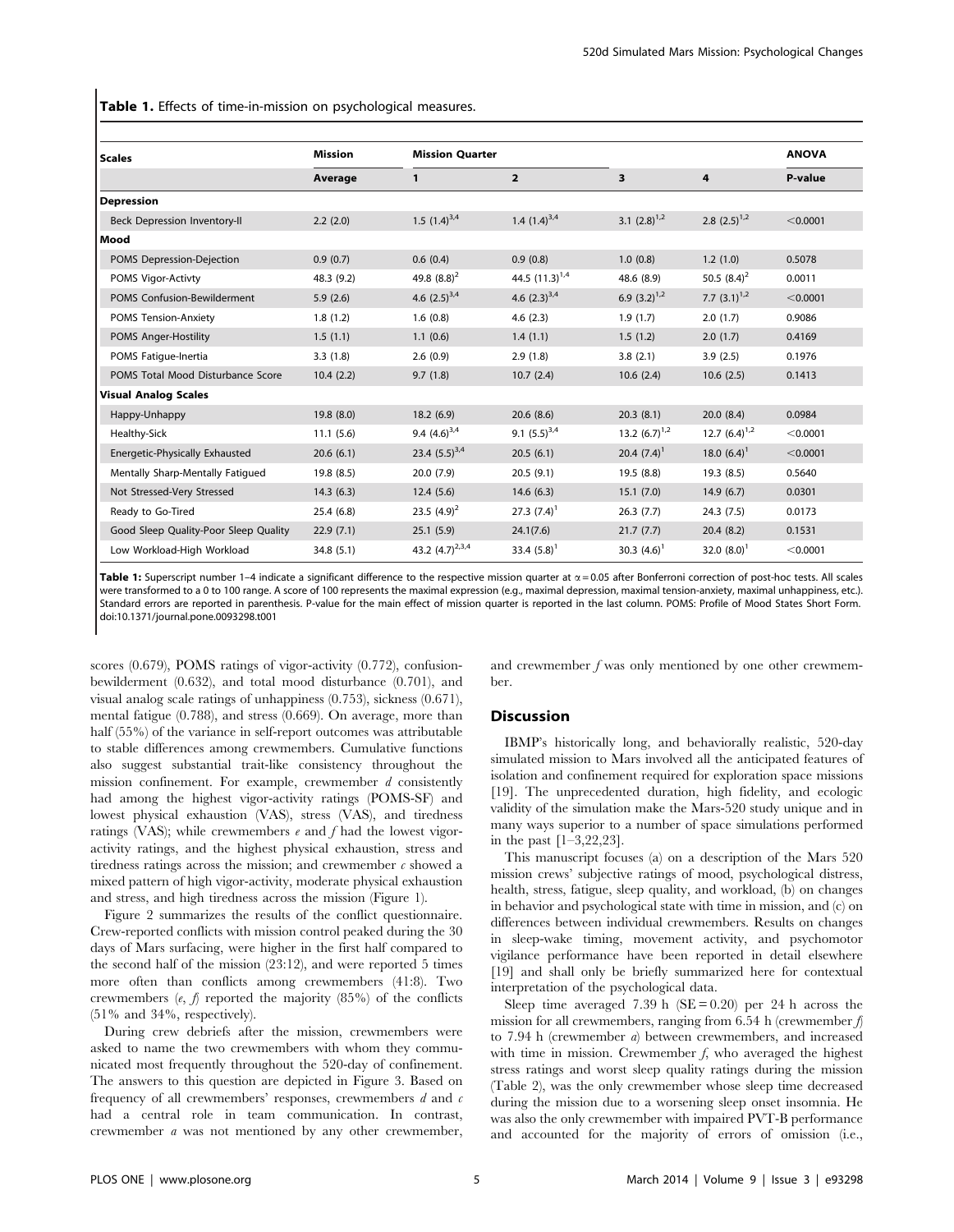Table 1. Effects of time-in-mission on psychological measures.

| <b>Scales</b>                         | <b>Mission</b> | <b>Mission Quarter</b> |                         |                    |                    | <b>ANOVA</b> |
|---------------------------------------|----------------|------------------------|-------------------------|--------------------|--------------------|--------------|
|                                       | Average        | 1                      | $\overline{\mathbf{2}}$ | 3                  | 4                  | P-value      |
| <b>Depression</b>                     |                |                        |                         |                    |                    |              |
| Beck Depression Inventory-II          | 2.2(2.0)       | $1.5(1.4)^{3,4}$       | 1.4 $(1.4)^{3,4}$       | 3.1 $(2.8)^{1,2}$  | 2.8 $(2.5)^{1,2}$  | < 0.0001     |
| Mood                                  |                |                        |                         |                    |                    |              |
| POMS Depression-Dejection             | 0.9(0.7)       | 0.6(0.4)               | 0.9(0.8)                | 1.0(0.8)           | 1.2(1.0)           | 0.5078       |
| POMS Vigor-Activty                    | 48.3 (9.2)     | 49.8 $(8.8)^2$         | 44.5 $(11.3)^{1.4}$     | 48.6 (8.9)         | 50.5 $(8.4)^2$     | 0.0011       |
| POMS Confusion-Bewilderment           | 5.9(2.6)       | 4.6 $(2.5)^{3,4}$      | 4.6 $(2.3)^{3,4}$       | 6.9 $(3.2)^{1.2}$  | 7.7 $(3.1)^{1.2}$  | < 0.0001     |
| <b>POMS Tension-Anxiety</b>           | 1.8(1.2)       | 1.6(0.8)               | 4.6(2.3)                | 1.9(1.7)           | 2.0(1.7)           | 0.9086       |
| <b>POMS Anger-Hostility</b>           | 1.5(1.1)       | 1.1(0.6)               | 1.4(1.1)                | 1.5(1.2)           | 2.0(1.7)           | 0.4169       |
| POMS Fatigue-Inertia                  | 3.3(1.8)       | 2.6(0.9)               | 2.9(1.8)                | 3.8(2.1)           | 3.9(2.5)           | 0.1976       |
| POMS Total Mood Disturbance Score     | 10.4(2.2)      | 9.7(1.8)               | 10.7(2.4)               | 10.6(2.4)          | 10.6(2.5)          | 0.1413       |
| <b>Visual Analog Scales</b>           |                |                        |                         |                    |                    |              |
| Happy-Unhappy                         | 19.8 (8.0)     | 18.2(6.9)              | 20.6(8.6)               | 20.3(8.1)          | 20.0(8.4)          | 0.0984       |
| Healthy-Sick                          | 11.1(5.6)      | 9.4 $(4.6)^{3,4}$      | 9.1 $(5.5)^{3,4}$       | 13.2 $(6.7)^{1,2}$ | 12.7 $(6.4)^{1,2}$ | < 0.0001     |
| Energetic-Physically Exhausted        | 20.6(6.1)      | 23.4 $(5.5)^{3,4}$     | 20.5(6.1)               | 20.4 $(7.4)^1$     | 18.0 $(6.4)^1$     | < 0.0001     |
| Mentally Sharp-Mentally Fatigued      | 19.8(8.5)      | 20.0(7.9)              | 20.5(9.1)               | 19.5 (8.8)         | 19.3(8.5)          | 0.5640       |
| Not Stressed-Very Stressed            | 14.3(6.3)      | 12.4(5.6)              | 14.6(6.3)               | 15.1(7.0)          | 14.9(6.7)          | 0.0301       |
| Ready to Go-Tired                     | 25.4(6.8)      | 23.5 $(4.9)^2$         | 27.3 $(7.4)^1$          | 26.3(7.7)          | 24.3(7.5)          | 0.0173       |
| Good Sleep Quality-Poor Sleep Quality | 22.9(7.1)      | 25.1(5.9)              | 24.1(7.6)               | 21.7(7.7)          | 20.4(8.2)          | 0.1531       |
| Low Workload-High Workload            | 34.8(5.1)      | 43.2 $(4.7)^{2,3,4}$   | 33.4 $(5.8)^1$          | 30.3 $(4.6)^1$     | 32.0 $(8.0)^1$     | < 0.0001     |

Table 1: Superscript number 1-4 indicate a significant difference to the respective mission quarter at  $\alpha$  = 0.05 after Bonferroni correction of post-hoc tests. All scales were transformed to a 0 to 100 range. A score of 100 represents the maximal expression (e.g., maximal depression, maximal tension-anxiety, maximal unhappiness, etc.). Standard errors are reported in parenthesis. P-value for the main effect of mission quarter is reported in the last column. POMS: Profile of Mood States Short Form. doi:10.1371/journal.pone.0093298.t001

scores (0.679), POMS ratings of vigor-activity (0.772), confusionbewilderment (0.632), and total mood disturbance (0.701), and visual analog scale ratings of unhappiness (0.753), sickness (0.671), mental fatigue (0.788), and stress (0.669). On average, more than half (55%) of the variance in self-report outcomes was attributable to stable differences among crewmembers. Cumulative functions also suggest substantial trait-like consistency throughout the mission confinement. For example, crewmember  $d$  consistently had among the highest vigor-activity ratings (POMS-SF) and lowest physical exhaustion (VAS), stress (VAS), and tiredness ratings (VAS); while crewmembers  $e$  and  $f$  had the lowest vigoractivity ratings, and the highest physical exhaustion, stress and tiredness ratings across the mission; and crewmember  $\epsilon$  showed a mixed pattern of high vigor-activity, moderate physical exhaustion and stress, and high tiredness across the mission (Figure 1).

Figure 2 summarizes the results of the conflict questionnaire. Crew-reported conflicts with mission control peaked during the 30 days of Mars surfacing, were higher in the first half compared to the second half of the mission (23:12), and were reported 5 times more often than conflicts among crewmembers (41:8). Two crewmembers  $(e, f)$  reported the majority  $(85%)$  of the conflicts (51% and 34%, respectively).

During crew debriefs after the mission, crewmembers were asked to name the two crewmembers with whom they communicated most frequently throughout the 520-day of confinement. The answers to this question are depicted in Figure 3. Based on frequency of all crewmembers' responses, crewmembers  $d$  and  $c$ had a central role in team communication. In contrast, crewmember a was not mentioned by any other crewmember, and crewmember f was only mentioned by one other crewmember.

## **Discussion**

IBMP's historically long, and behaviorally realistic, 520-day simulated mission to Mars involved all the anticipated features of isolation and confinement required for exploration space missions [19]. The unprecedented duration, high fidelity, and ecologic validity of the simulation make the Mars-520 study unique and in many ways superior to a number of space simulations performed in the past  $[1-3, 22, 23]$ .

This manuscript focuses (a) on a description of the Mars 520 mission crews' subjective ratings of mood, psychological distress, health, stress, fatigue, sleep quality, and workload, (b) on changes in behavior and psychological state with time in mission, and (c) on differences between individual crewmembers. Results on changes in sleep-wake timing, movement activity, and psychomotor vigilance performance have been reported in detail elsewhere [19] and shall only be briefly summarized here for contextual interpretation of the psychological data.

Sleep time averaged 7.39 h ( $SE = 0.20$ ) per 24 h across the mission for all crewmembers, ranging from 6.54 h (crewmember  $f$ ) to 7.94 h (crewmember a) between crewmembers, and increased with time in mission. Crewmember  $f$ , who averaged the highest stress ratings and worst sleep quality ratings during the mission (Table 2), was the only crewmember whose sleep time decreased during the mission due to a worsening sleep onset insomnia. He was also the only crewmember with impaired PVT-B performance and accounted for the majority of errors of omission (i.e.,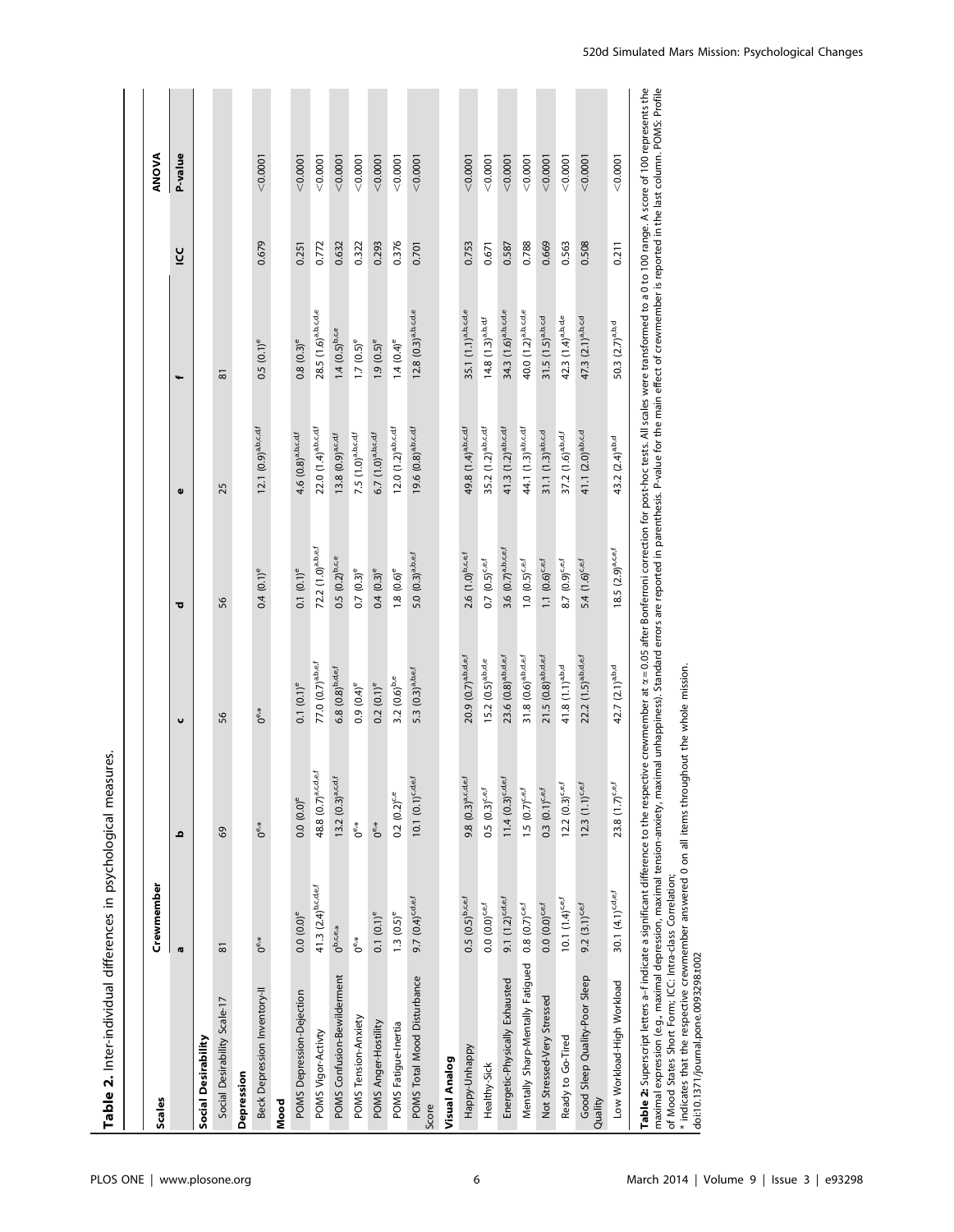|                                          | Crewmember               |                                 |                                   |                                  |                                  |                                 |       | ANOVA    |
|------------------------------------------|--------------------------|---------------------------------|-----------------------------------|----------------------------------|----------------------------------|---------------------------------|-------|----------|
|                                          | $\pmb{\varpi}$           | ء                               | U                                 | ত                                | $\mathbf{v}$                     |                                 | ⊻ٍ    | P-value  |
| Social Desirability                      |                          |                                 |                                   |                                  |                                  |                                 |       |          |
| Social Desirability Scale-17             | 81                       | 69                              | 56                                | 56                               | 25                               | $\overline{8}$                  |       |          |
| Depression                               |                          |                                 |                                   |                                  |                                  |                                 |       |          |
| Beck Depression Inventory-II             | $0^{e,*}$                | $0^{e,*}$                       | $0^{\mathrm{e},*}$                | $0.4(0.1)^e$                     | $12.1 (0.9)^{a,b,c,d,f}$         | $0.5(0.1)^e$                    | 0.679 | < 0.0001 |
| Mood                                     |                          |                                 |                                   |                                  |                                  |                                 |       |          |
| POMS Depression-Dejection                | $0.0(0.0)$ <sup>e</sup>  | $0.0(0.0)$ <sup>e</sup>         | $0.1(0.1)^e$                      | $0.1(0.1)^e$                     | $4.6 (0.8)$ <sup>a,b,c,d,f</sup> | $0.8(0.3)^e$                    | 0.251 | < 0.0001 |
| POMS Vigor-Activty                       | 41.3 $(2.4)^{b.c.d.e.f}$ | 48.8 (0.7) <sup>a,c,d,e,f</sup> | 77.0 $(0.7)^{a,b,e,f}$            | 72.2 $(1.0)^{a,b,e,f}$           | $22.0 (1.4)^{a,b,c,d,f}$         | $28.5 (1.6)^{a,b,c,d,e}$        | 0.772 | < 0.0001 |
| POMS Confusion-Bewilderment              | $0^{b,c,e,*}$            | 13.2 $(0.3)^{a,c,d,f}$          | $6.8(0.8)$ <sup>b,de,f</sup>      | $0.5(0.2)^{b,c,e}$               | $13.8 (0.9)^{a.c.d.f}$           | $1.4 (0.5)^{b.c.e}$             | 0.632 | < 0.0001 |
| POMS Tension-Anxiety                     | $0^{e,*}$                | $0^{e,*}$                       | $0.9(0.4)$ <sup>e</sup>           | $0.7(0.3)^e$                     | 7.5 $(1.0)$ <sup>a,b,c,d,f</sup> | $1.7 (0.5)^e$                   | 0.322 | < 0.0001 |
| POMS Anger-Hostility                     | $0.1 (0.1)^e$            | $0^{e,*}$                       | $0.2(0.1)^e$                      | $0.4(0.3)^e$                     | $6.7(1.0)$ a, b, c, d, f         | $1.9(0.5)^e$                    | 0.293 | < 0.0001 |
| POMS Fatigue-Inertia                     | $1.3 (0.5)$ <sup>e</sup> | $0.2 (0.2)^{c,e}$               | $3.2 (0.6)^{b,e}$                 | $1.8(0.6)$ <sup>e</sup>          | 12.0 $(1.2)^{a,b,c,d,f}$         | 1.4 $(0.4)^e$                   | 0.376 | < 0.0001 |
| POMS Total Mood Disturbance<br>Score     | 9.7 $(0.4)^{c,d,e,f}$    | $10.1 (0.1)^{c,d,e,f}$          | $5.3 (0.3)$ <sup>a,b,e,f</sup>    | $5.0(0.3)^{a,b,e,f}$             | $19.6 (0.8)^{a,b,c,d,f}$         | $12.8 (0.3)^{a,b,c,d,e}$        | 0.701 | < 0.0001 |
| Visual Analog                            |                          |                                 |                                   |                                  |                                  |                                 |       |          |
| Happy-Unhappy                            | $0.5 (0.5)^{b, c, e, f}$ | $9.8(0.3)^{a,c,d,e,f}$          | $20.9 (0.7)^{a,b,d,e,f}$          | $2.6(1.0)^{b,c,e,f}$             | 49.8 $(1.4)^{a,b,c,d,f}$         | 35.1 (1.1) <sup>a,b,c,d,e</sup> | 0.753 | < 0.0001 |
| Healthy-Sick                             | $0.0 (0.0)^{c.e.f}$      | $0.5 (0.3)^{c.e.f}$             | $15.2 (0.5)^{a.b.de}$             | $0.7 (0.5)^{c.e.f}$              | 35.2 (1.2) <sup>a,b,c,d,f</sup>  | $14.8(1.3)^{a,b,d,f}$           | 0.671 | 0.0001   |
| Energetic-Physically Exhausted           | 9.1 $(1.2)^{c.d.e.f}$    | $11.4 (0.3)^{c,d,e,f}$          | $23.6 (0.8)$ <sup>a,b,d,e,f</sup> | 3.6 $(0.7)$ <sup>a,b,c,e,f</sup> | 41.3 $(1.2)^{a,b,c,d,f}$         | 34.3 (1.6)a,b,c,d,e             | 0.587 | < 0.0001 |
| Mentally Sharp-Mentally Fatigued         | $0.8 (0.7)^{c.ef}$       | 1.5 $(0.7)^{c.e.f}$             | $31.8 (0.6)^{a,b,def}$            | $1.0 (0.5)^{c.e.f}$              | 44.1 (1.3) <sup>a,b,c,d,f</sup>  | 40.0 (1.2) <sup>a,b,c,d,e</sup> | 0.788 | < 0.0001 |
| Not Stressed-Very Stressed               | $0.0~(0.0)^{c,e,f}$      | $0.3 (0.1)^{c,e,f}$             | $21.5 (0.8)^{a,b,d,e,f}$          | $1.1 (0.6)^{c.e.f}$              | $31.1 (1.3)^{a,b,c,d}$           | $31.5(1.5)^{a,b,c,d}$           | 0.669 | < 0.0001 |
| Ready to Go-Tired                        | 10.1 $(1.4)^{c.e.f}$     | $12.2 (0.3)^{c.e.f}$            | $41.8(1.1)^{a,b,d}$               | $8.7(0.9)^{c.e.f}$               | $37.2 (1.6)^{a.b.d.f}$           | 42.3 (1.4) <sup>a,b,d,e</sup>   | 0.563 | < 0.0001 |
| Good Sleep Quality-Poor Sleep<br>Quality | 9.2 $(3.1)^{c,e,f}$      | $12.3 (1.1)^{c.e.f}$            | $22.2 (1.5)^{a,b,d,e,f}$          | $5.4(1.6)^{c.e.f}$               | 41.1 (2.0) <sup>a,b,c,d</sup>    | 47.3 (2.1)a,b,c,d               | 0.508 | < 0.0001 |
| Low Workload-High Workload               | 30.1 $(4.1)^{c,d,e,f}$   | $23.8(1.7)^{c.e.f}$             | $42.7 (2.1)^{a,b,d}$              | $18.5 (2.9)^{a.c.e.f}$           | 43.2 $(2.4)^{a,b,d}$             | 50.3 $(2.7)^{a,b,d}$            | 0.211 | < 0.0001 |

of Mood States Short Form; ICC: Intra-dass Correlation;<br>\* indicates that the respective crewmember answered 0 on all items throughout the whole mission.<br>|doi:10.1371/journal.pone.0093298.t002 of Mood States Short Form; ICC: Intra-class Correlation;

\* indicates that the respective crewmember answered 0 on all items throughout the whole mission.

doi:10.1371/journal.pone.0093298.t002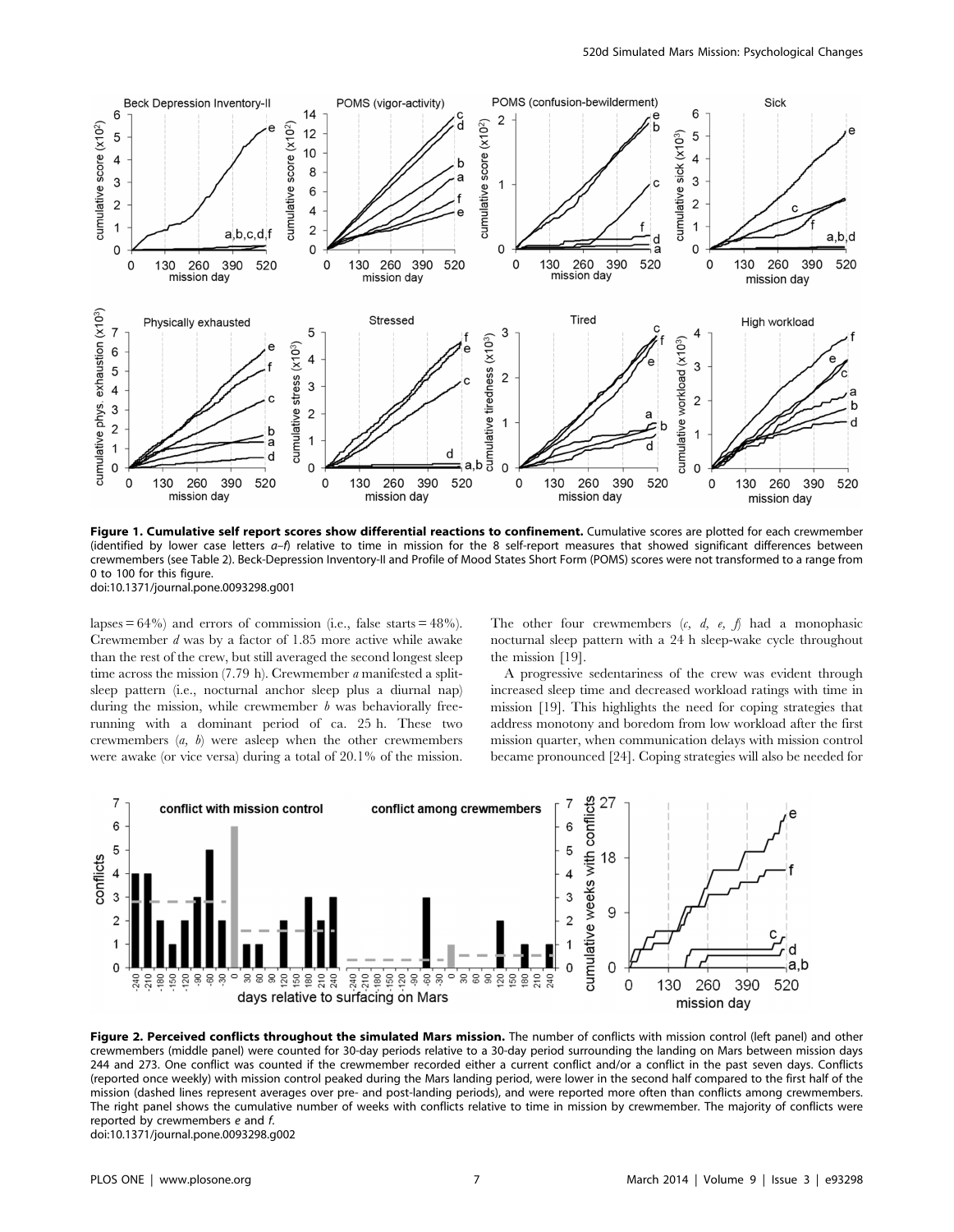

Figure 1. Cumulative self report scores show differential reactions to confinement. Cumulative scores are plotted for each crewmember (identified by lower case letters  $a-f$ ) relative to time in mission for the 8 self-report measures that showed significant differences between crewmembers (see Table 2). Beck-Depression Inventory-II and Profile of Mood States Short Form (POMS) scores were not transformed to a range from 0 to 100 for this figure. doi:10.1371/journal.pone.0093298.g001

lapses  $= 64\%$  and errors of commission (i.e., false starts  $= 48\%$ ). Crewmember d was by a factor of 1.85 more active while awake than the rest of the crew, but still averaged the second longest sleep time across the mission (7.79 h). Crewmember a manifested a splitsleep pattern (i.e., nocturnal anchor sleep plus a diurnal nap) during the mission, while crewmember  $b$  was behaviorally freerunning with a dominant period of ca. 25 h. These two crewmembers (a, b) were asleep when the other crewmembers were awake (or vice versa) during a total of 20.1% of the mission.

The other four crewmembers  $(c, d, e, f)$  had a monophasic nocturnal sleep pattern with a 24 h sleep-wake cycle throughout the mission [19].

A progressive sedentariness of the crew was evident through increased sleep time and decreased workload ratings with time in mission [19]. This highlights the need for coping strategies that address monotony and boredom from low workload after the first mission quarter, when communication delays with mission control became pronounced [24]. Coping strategies will also be needed for



Figure 2. Perceived conflicts throughout the simulated Mars mission. The number of conflicts with mission control (left panel) and other crewmembers (middle panel) were counted for 30-day periods relative to a 30-day period surrounding the landing on Mars between mission days 244 and 273. One conflict was counted if the crewmember recorded either a current conflict and/or a conflict in the past seven days. Conflicts (reported once weekly) with mission control peaked during the Mars landing period, were lower in the second half compared to the first half of the mission (dashed lines represent averages over pre- and post-landing periods), and were reported more often than conflicts among crewmembers. The right panel shows the cumulative number of weeks with conflicts relative to time in mission by crewmember. The majority of conflicts were reported by crewmembers e and f. doi:10.1371/journal.pone.0093298.g002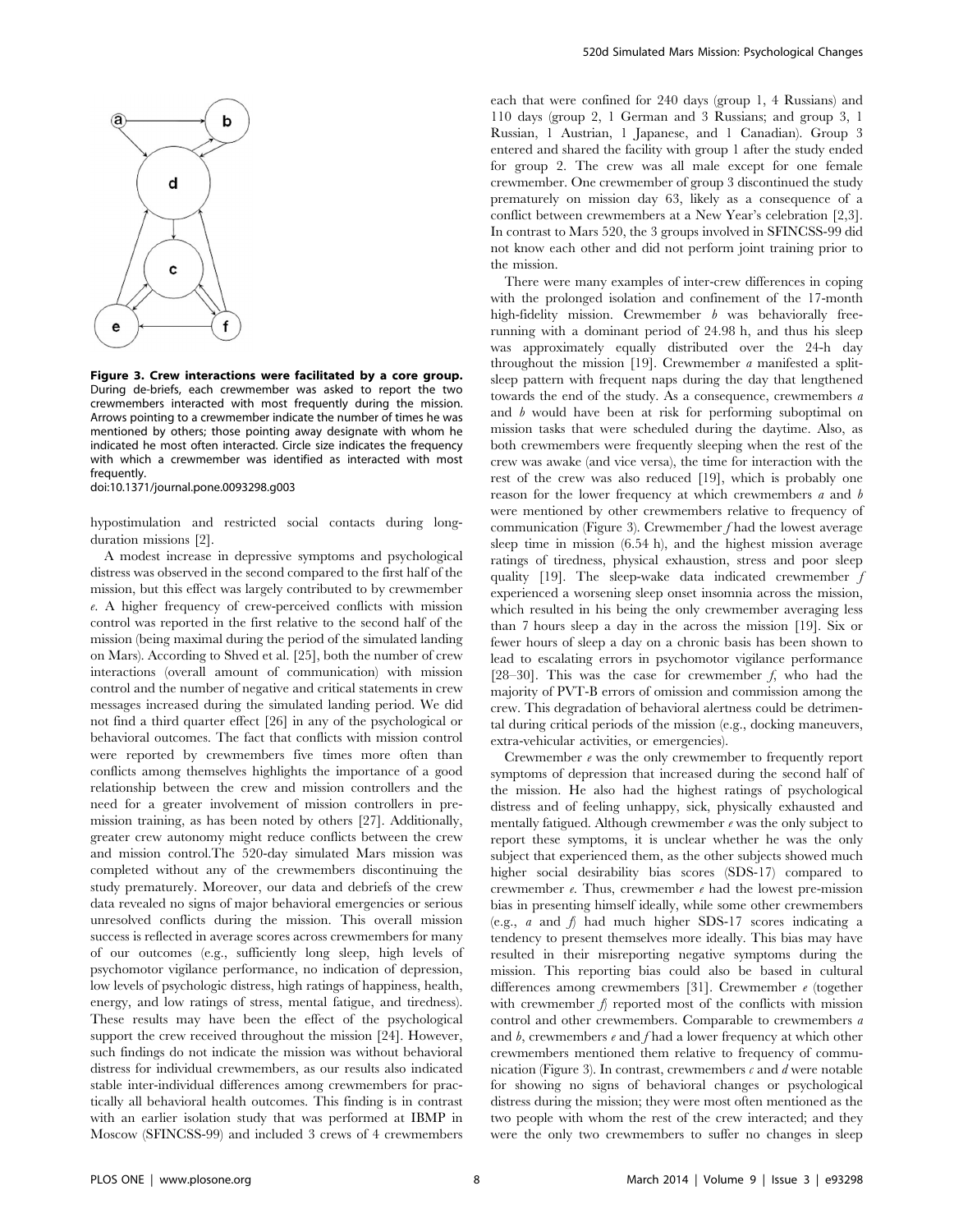

Figure 3. Crew interactions were facilitated by a core group. During de-briefs, each crewmember was asked to report the two crewmembers interacted with most frequently during the mission. Arrows pointing to a crewmember indicate the number of times he was mentioned by others; those pointing away designate with whom he indicated he most often interacted. Circle size indicates the frequency with which a crewmember was identified as interacted with most frequently.

doi:10.1371/journal.pone.0093298.g003

hypostimulation and restricted social contacts during longduration missions [2].

A modest increase in depressive symptoms and psychological distress was observed in the second compared to the first half of the mission, but this effect was largely contributed to by crewmember e. A higher frequency of crew-perceived conflicts with mission control was reported in the first relative to the second half of the mission (being maximal during the period of the simulated landing on Mars). According to Shved et al. [25], both the number of crew interactions (overall amount of communication) with mission control and the number of negative and critical statements in crew messages increased during the simulated landing period. We did not find a third quarter effect [26] in any of the psychological or behavioral outcomes. The fact that conflicts with mission control were reported by crewmembers five times more often than conflicts among themselves highlights the importance of a good relationship between the crew and mission controllers and the need for a greater involvement of mission controllers in premission training, as has been noted by others [27]. Additionally, greater crew autonomy might reduce conflicts between the crew and mission control.The 520-day simulated Mars mission was completed without any of the crewmembers discontinuing the study prematurely. Moreover, our data and debriefs of the crew data revealed no signs of major behavioral emergencies or serious unresolved conflicts during the mission. This overall mission success is reflected in average scores across crewmembers for many of our outcomes (e.g., sufficiently long sleep, high levels of psychomotor vigilance performance, no indication of depression, low levels of psychologic distress, high ratings of happiness, health, energy, and low ratings of stress, mental fatigue, and tiredness). These results may have been the effect of the psychological support the crew received throughout the mission [24]. However, such findings do not indicate the mission was without behavioral distress for individual crewmembers, as our results also indicated stable inter-individual differences among crewmembers for practically all behavioral health outcomes. This finding is in contrast with an earlier isolation study that was performed at IBMP in Moscow (SFINCSS-99) and included 3 crews of 4 crewmembers

each that were confined for 240 days (group 1, 4 Russians) and 110 days (group 2, 1 German and 3 Russians; and group 3, 1 Russian, 1 Austrian, 1 Japanese, and 1 Canadian). Group 3 entered and shared the facility with group 1 after the study ended for group 2. The crew was all male except for one female crewmember. One crewmember of group 3 discontinued the study prematurely on mission day 63, likely as a consequence of a conflict between crewmembers at a New Year's celebration [2,3]. In contrast to Mars 520, the 3 groups involved in SFINCSS-99 did not know each other and did not perform joint training prior to the mission.

There were many examples of inter-crew differences in coping with the prolonged isolation and confinement of the 17-month high-fidelity mission. Crewmember *b* was behaviorally freerunning with a dominant period of 24.98 h, and thus his sleep was approximately equally distributed over the 24-h day throughout the mission [19]. Crewmember  $a$  manifested a splitsleep pattern with frequent naps during the day that lengthened towards the end of the study. As a consequence, crewmembers a and b would have been at risk for performing suboptimal on mission tasks that were scheduled during the daytime. Also, as both crewmembers were frequently sleeping when the rest of the crew was awake (and vice versa), the time for interaction with the rest of the crew was also reduced [19], which is probably one reason for the lower frequency at which crewmembers a and b were mentioned by other crewmembers relative to frequency of communication (Figure 3). Crewmember  $f$  had the lowest average sleep time in mission (6.54 h), and the highest mission average ratings of tiredness, physical exhaustion, stress and poor sleep quality [19]. The sleep-wake data indicated crewmember  $f$ experienced a worsening sleep onset insomnia across the mission, which resulted in his being the only crewmember averaging less than 7 hours sleep a day in the across the mission [19]. Six or fewer hours of sleep a day on a chronic basis has been shown to lead to escalating errors in psychomotor vigilance performance [28–30]. This was the case for crewmember  $f$ , who had the majority of PVT-B errors of omission and commission among the crew. This degradation of behavioral alertness could be detrimental during critical periods of the mission (e.g., docking maneuvers, extra-vehicular activities, or emergencies).

Crewmember e was the only crewmember to frequently report symptoms of depression that increased during the second half of the mission. He also had the highest ratings of psychological distress and of feeling unhappy, sick, physically exhausted and mentally fatigued. Although crewmember  $e$  was the only subject to report these symptoms, it is unclear whether he was the only subject that experienced them, as the other subjects showed much higher social desirability bias scores (SDS-17) compared to crewmember  $e$ . Thus, crewmember  $e$  had the lowest pre-mission bias in presenting himself ideally, while some other crewmembers (e.g., *a* and  $f$ ) had much higher SDS-17 scores indicating a tendency to present themselves more ideally. This bias may have resulted in their misreporting negative symptoms during the mission. This reporting bias could also be based in cultural differences among crewmembers [31]. Crewmember e (together with crewmember  $f$  reported most of the conflicts with mission control and other crewmembers. Comparable to crewmembers a and  $b$ , crewmembers  $e$  and  $f$  had a lower frequency at which other crewmembers mentioned them relative to frequency of communication (Figure 3). In contrast, crewmembers  $c$  and  $d$  were notable for showing no signs of behavioral changes or psychological distress during the mission; they were most often mentioned as the two people with whom the rest of the crew interacted; and they were the only two crewmembers to suffer no changes in sleep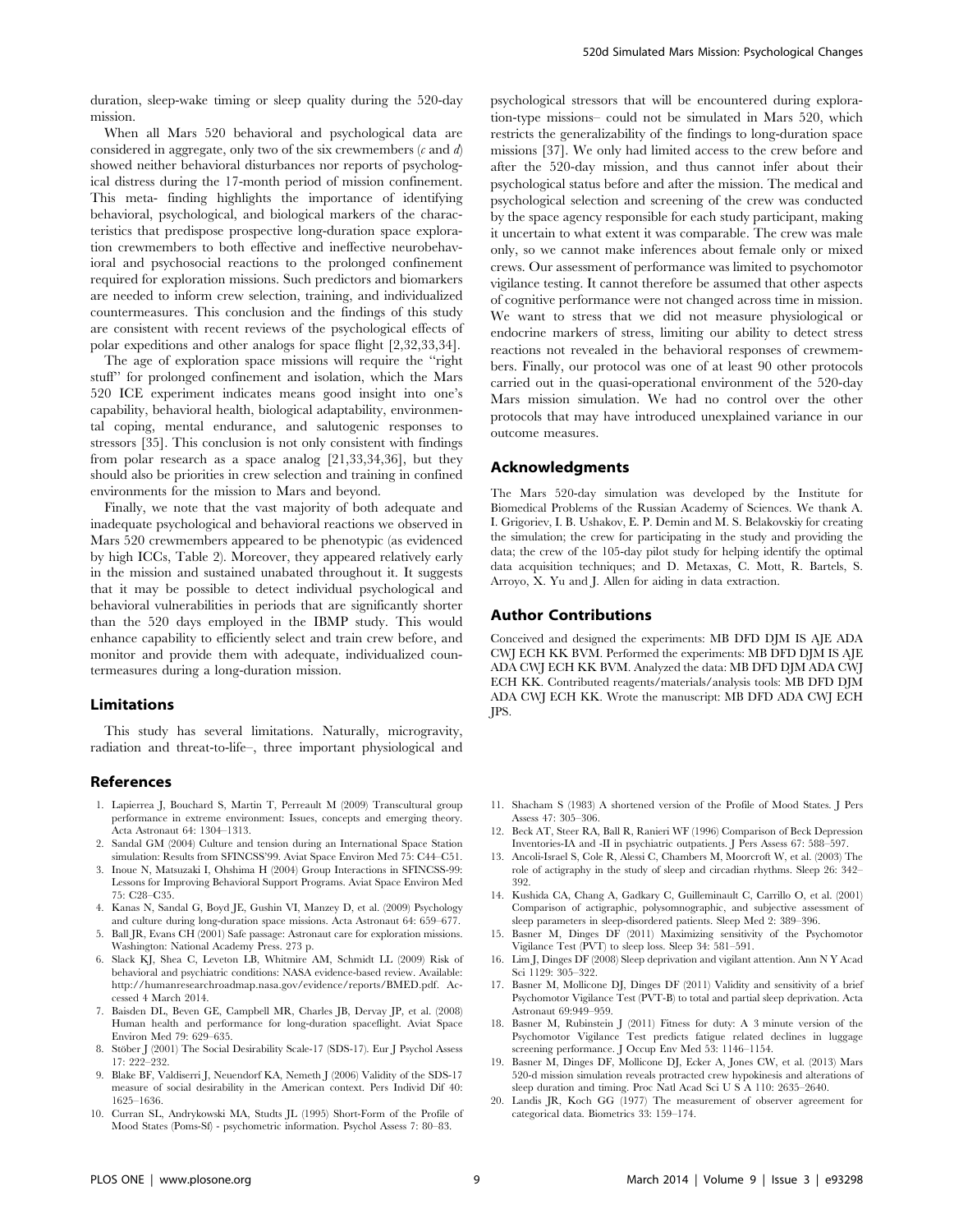duration, sleep-wake timing or sleep quality during the 520-day mission.

When all Mars 520 behavioral and psychological data are considered in aggregate, only two of the six crewmembers  $(c \text{ and } d)$ showed neither behavioral disturbances nor reports of psychological distress during the 17-month period of mission confinement. This meta- finding highlights the importance of identifying behavioral, psychological, and biological markers of the characteristics that predispose prospective long-duration space exploration crewmembers to both effective and ineffective neurobehavioral and psychosocial reactions to the prolonged confinement required for exploration missions. Such predictors and biomarkers are needed to inform crew selection, training, and individualized countermeasures. This conclusion and the findings of this study are consistent with recent reviews of the psychological effects of polar expeditions and other analogs for space flight [2,32,33,34].

The age of exploration space missions will require the ''right stuff'' for prolonged confinement and isolation, which the Mars 520 ICE experiment indicates means good insight into one's capability, behavioral health, biological adaptability, environmental coping, mental endurance, and salutogenic responses to stressors [35]. This conclusion is not only consistent with findings from polar research as a space analog [21,33,34,36], but they should also be priorities in crew selection and training in confined environments for the mission to Mars and beyond.

Finally, we note that the vast majority of both adequate and inadequate psychological and behavioral reactions we observed in Mars 520 crewmembers appeared to be phenotypic (as evidenced by high ICCs, Table 2). Moreover, they appeared relatively early in the mission and sustained unabated throughout it. It suggests that it may be possible to detect individual psychological and behavioral vulnerabilities in periods that are significantly shorter than the 520 days employed in the IBMP study. This would enhance capability to efficiently select and train crew before, and monitor and provide them with adequate, individualized countermeasures during a long-duration mission.

## Limitations

This study has several limitations. Naturally, microgravity, radiation and threat-to-life–, three important physiological and

## References

- 1. Lapierrea J, Bouchard S, Martin T, Perreault M (2009) Transcultural group performance in extreme environment: Issues, concepts and emerging theory. Acta Astronaut 64: 1304–1313.
- 2. Sandal GM (2004) Culture and tension during an International Space Station simulation: Results from SFINCSS'99. Aviat Space Environ Med 75: C44–C51.
- 3. Inoue N, Matsuzaki I, Ohshima H (2004) Group Interactions in SFINCSS-99: Lessons for Improving Behavioral Support Programs. Aviat Space Environ Med 75: C28–C35.
- 4. Kanas N, Sandal G, Boyd JE, Gushin VI, Manzey D, et al. (2009) Psychology and culture during long-duration space missions. Acta Astronaut 64: 659–677.
- 5. Ball JR, Evans CH (2001) Safe passage: Astronaut care for exploration missions. Washington: National Academy Press. 273 p.
- 6. Slack KJ, Shea C, Leveton LB, Whitmire AM, Schmidt LL (2009) Risk of behavioral and psychiatric conditions: NASA evidence-based review. Available: http://humanresearchroadmap.nasa.gov/evidence/reports/BMED.pdf. Accessed 4 March 2014.
- 7. Baisden DL, Beven GE, Campbell MR, Charles JB, Dervay JP, et al. (2008) Human health and performance for long-duration spaceflight. Aviat Space Environ Med 79: 629–635.
- 8. Stöber J (2001) The Social Desirability Scale-17 (SDS-17). Eur J Psychol Assess 17: 222–232.
- 9. Blake BF, Valdiserri J, Neuendorf KA, Nemeth J (2006) Validity of the SDS-17 measure of social desirability in the American context. Pers Individ Dif 40: 1625–1636.

psychological stressors that will be encountered during exploration-type missions– could not be simulated in Mars 520, which restricts the generalizability of the findings to long-duration space missions [37]. We only had limited access to the crew before and after the 520-day mission, and thus cannot infer about their psychological status before and after the mission. The medical and psychological selection and screening of the crew was conducted by the space agency responsible for each study participant, making it uncertain to what extent it was comparable. The crew was male only, so we cannot make inferences about female only or mixed crews. Our assessment of performance was limited to psychomotor vigilance testing. It cannot therefore be assumed that other aspects of cognitive performance were not changed across time in mission. We want to stress that we did not measure physiological or endocrine markers of stress, limiting our ability to detect stress reactions not revealed in the behavioral responses of crewmembers. Finally, our protocol was one of at least 90 other protocols carried out in the quasi-operational environment of the 520-day Mars mission simulation. We had no control over the other protocols that may have introduced unexplained variance in our outcome measures.

## Acknowledgments

The Mars 520-day simulation was developed by the Institute for Biomedical Problems of the Russian Academy of Sciences. We thank A. I. Grigoriev, I. B. Ushakov, E. P. Demin and M. S. Belakovskiy for creating the simulation; the crew for participating in the study and providing the data; the crew of the 105-day pilot study for helping identify the optimal data acquisition techniques; and D. Metaxas, C. Mott, R. Bartels, S. Arroyo, X. Yu and J. Allen for aiding in data extraction.

### Author Contributions

Conceived and designed the experiments: MB DFD DJM IS AJE ADA CWJ ECH KK BVM. Performed the experiments: MB DFD DJM IS AJE ADA CWJ ECH KK BVM. Analyzed the data: MB DFD DJM ADA CWJ ECH KK. Contributed reagents/materials/analysis tools: MB DFD DJM ADA CWJ ECH KK. Wrote the manuscript: MB DFD ADA CWJ ECH JPS.

- 11. Shacham S (1983) A shortened version of the Profile of Mood States. J Pers Assess 47: 305–306.
- 12. Beck AT, Steer RA, Ball R, Ranieri WF (1996) Comparison of Beck Depression Inventories-IA and -II in psychiatric outpatients. J Pers Assess 67: 588–597.
- 13. Ancoli-Israel S, Cole R, Alessi C, Chambers M, Moorcroft W, et al. (2003) The role of actigraphy in the study of sleep and circadian rhythms. Sleep 26: 342– 392.
- 14. Kushida CA, Chang A, Gadkary C, Guilleminault C, Carrillo O, et al. (2001) Comparison of actigraphic, polysomnographic, and subjective assessment of sleep parameters in sleep-disordered patients. Sleep Med 2: 389–396.
- 15. Basner M, Dinges DF (2011) Maximizing sensitivity of the Psychomotor Vigilance Test (PVT) to sleep loss. Sleep 34: 581–591.
- 16. Lim J, Dinges DF (2008) Sleep deprivation and vigilant attention. Ann N Y Acad Sci 1129: 305–322.
- 17. Basner M, Mollicone DJ, Dinges DF (2011) Validity and sensitivity of a brief Psychomotor Vigilance Test (PVT-B) to total and partial sleep deprivation. Acta Astronaut 69:949–959.
- 18. Basner M, Rubinstein J (2011) Fitness for duty: A 3 minute version of the Psychomotor Vigilance Test predicts fatigue related declines in luggage screening performance. J Occup Env Med 53: 1146–1154.
- 19. Basner M, Dinges DF, Mollicone DJ, Ecker A, Jones CW, et al. (2013) Mars 520-d mission simulation reveals protracted crew hypokinesis and alterations of sleep duration and timing. Proc Natl Acad Sci U S A 110: 2635–2640.
- 20. Landis JR, Koch GG (1977) The measurement of observer agreement for categorical data. Biometrics 33: 159–174.